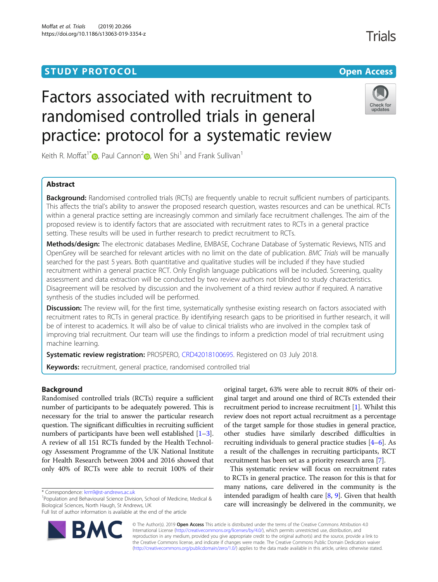## **STUDY PROTOCOL CONSUMING THE CONSUMING OPEN ACCESS**

# Factors associated with recruitment to randomised controlled trials in general practice: protocol for a systematic review



Keith R. Moffat<sup>1\*</sup>  $\bullet$ , Paul Cannon<sup>[2](http://orcid.org/0000-0001-8721-1481)</sup> , Wen Shi<sup>1</sup> and Frank Sullivan<sup>1</sup>

### Abstract

Background: Randomised controlled trials (RCTs) are frequently unable to recruit sufficient numbers of participants. This affects the trial's ability to answer the proposed research question, wastes resources and can be unethical. RCTs within a general practice setting are increasingly common and similarly face recruitment challenges. The aim of the proposed review is to identify factors that are associated with recruitment rates to RCTs in a general practice setting. These results will be used in further research to predict recruitment to RCTs.

Methods/design: The electronic databases Medline, EMBASE, Cochrane Database of Systematic Reviews, NTIS and OpenGrey will be searched for relevant articles with no limit on the date of publication. BMC Trials will be manually searched for the past 5 years. Both quantitative and qualitative studies will be included if they have studied recruitment within a general practice RCT. Only English language publications will be included. Screening, quality assessment and data extraction will be conducted by two review authors not blinded to study characteristics. Disagreement will be resolved by discussion and the involvement of a third review author if required. A narrative synthesis of the studies included will be performed.

Discussion: The review will, for the first time, systematically synthesise existing research on factors associated with recruitment rates to RCTs in general practice. By identifying research gaps to be prioritised in further research, it will be of interest to academics. It will also be of value to clinical trialists who are involved in the complex task of improving trial recruitment. Our team will use the findings to inform a prediction model of trial recruitment using machine learning.

Systematic review registration: PROSPERO, [CRD42018100695](https://www.crd.york.ac.uk/prospero/display_record.php?RecordID=100695). Registered on 03 July 2018.

Keywords: recruitment, general practice, randomised controlled trial

#### Background

Randomised controlled trials (RCTs) require a sufficient number of participants to be adequately powered. This is necessary for the trial to answer the particular research question. The significant difficulties in recruiting sufficient numbers of participants have been well established [[1](#page-3-0)–[3](#page-3-0)]. A review of all 151 RCTs funded by the Health Technology Assessment Programme of the UK National Institute for Health Research between 2004 and 2016 showed that only 40% of RCTs were able to recruit 100% of their

\* Correspondence: [krm9@st-andrews.ac.uk](mailto:krm9@st-andrews.ac.uk) <sup>1</sup>

<sup>1</sup>Population and Behavioural Science Division, School of Medicine, Medical & Biological Sciences, North Haugh, St Andrews, UK

Full list of author information is available at the end of the article



original target, 63% were able to recruit 80% of their original target and around one third of RCTs extended their recruitment period to increase recruitment [\[1\]](#page-3-0). Whilst this review does not report actual recruitment as a percentage of the target sample for those studies in general practice, other studies have similarly described difficulties in recruiting individuals to general practice studies [\[4](#page-3-0)–[6\]](#page-3-0). As a result of the challenges in recruiting participants, RCT recruitment has been set as a priority research area [\[7](#page-3-0)].

This systematic review will focus on recruitment rates to RCTs in general practice. The reason for this is that for many nations, care delivered in the community is the intended paradigm of health care  $[8, 9]$  $[8, 9]$  $[8, 9]$  $[8, 9]$ . Given that health care will increasingly be delivered in the community, we

© The Author(s). 2019 Open Access This article is distributed under the terms of the Creative Commons Attribution 4.0 International License [\(http://creativecommons.org/licenses/by/4.0/](http://creativecommons.org/licenses/by/4.0/)), which permits unrestricted use, distribution, and reproduction in any medium, provided you give appropriate credit to the original author(s) and the source, provide a link to the Creative Commons license, and indicate if changes were made. The Creative Commons Public Domain Dedication waiver [\(http://creativecommons.org/publicdomain/zero/1.0/](http://creativecommons.org/publicdomain/zero/1.0/)) applies to the data made available in this article, unless otherwise stated.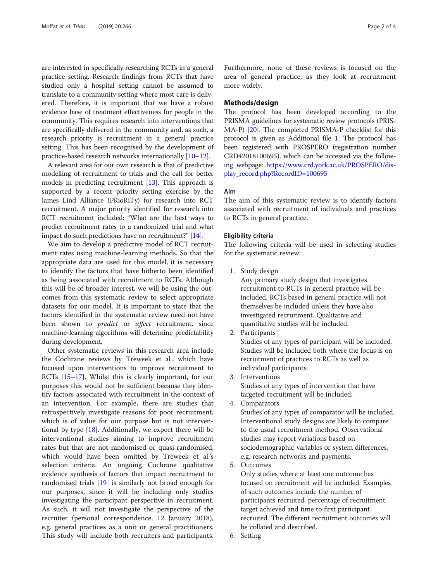are interested in specifically researching RCTs in a general practice setting. Research findings from RCTs that have studied only a hospital setting cannot be assumed to translate to a community setting where most care is delivered. Therefore, it is important that we have a robust evidence base of treatment effectiveness for people in the community. This requires research into interventions that are specifically delivered in the community and, as such, a research priority is recruitment in a general practice setting. This has been recognised by the development of practice-based research networks internationally [[10](#page-3-0)–[12\]](#page-3-0).

A relevant area for our own research is that of predictive modelling of recruitment to trials and the call for better models in predicting recruitment [[13](#page-3-0)]. This approach is supported by a recent priority setting exercise by the James Lind Alliance (PRioRiTy) for research into RCT recruitment. A major priority identified for research into RCT recruitment included: "What are the best ways to predict recruitment rates to a randomized trial and what impact do such predictions have on recruitment?" [\[14\]](#page-3-0).

We aim to develop a predictive model of RCT recruitment rates using machine-learning methods. So that the appropriate data are used for this model, it is necessary to identify the factors that have hitherto been identified as being associated with recruitment to RCTs. Although this will be of broader interest, we will be using the outcomes from this systematic review to select appropriate datasets for our model. It is important to state that the factors identified in the systematic review need not have been shown to *predict* or *affect* recruitment, since machine-learning algorithms will determine predictability during development.

Other systematic reviews in this research area include the Cochrane reviews by Treweek et al., which have focused upon interventions to improve recruitment to RCTs [\[15](#page-3-0)–[17](#page-3-0)]. Whilst this is clearly important, for our purposes this would not be sufficient because they identify factors associated with recruitment in the context of an intervention. For example, there are studies that retrospectively investigate reasons for poor recruitment, which is of value for our purpose but is not interventional by type [[18\]](#page-3-0). Additionally, we expect there will be interventional studies aiming to improve recruitment rates but that are not randomised or quasi-randomised, which would have been omitted by Treweek et al.'s selection criteria. An ongoing Cochrane qualitative evidence synthesis of factors that impact recruitment to randomised trials [\[19](#page-3-0)] is similarly not broad enough for our purposes, since it will be including only studies investigating the participant perspective in recruitment. As such, it will not investigate the perspective of the recruiter (personal correspondence, 12 January 2018), e.g. general practices as a unit or general practitioners. This study will include both recruiters and participants.

Furthermore, none of these reviews is focused on the area of general practice, as they look at recruitment more widely.

#### Methods/design

The protocol has been developed according to the PRISMA guidelines for systematic review protocols (PRIS-MA-P) [\[20](#page-3-0)]. The completed PRISMA-P checklist for this protocol is given as Additional file [1.](#page-3-0) The protocol has been registered with PROSPERO (registration number CRD42018100695), which can be accessed via the following webpage: [https://www.crd.york.ac.uk/PROSPERO/dis](https://www.crd.york.ac.uk/PROSPERO/display_record.php?RecordID=100695)[play\\_record.php?RecordID=100695](https://www.crd.york.ac.uk/PROSPERO/display_record.php?RecordID=100695)

#### Aim

The aim of this systematic review is to identify factors associated with recruitment of individuals and practices to RCTs in general practice.

#### Eligibility criteria

The following criteria will be used in selecting studies for the systematic review:

1. Study design

Any primary study design that investigates recruitment to RCTs in general practice will be included. RCTs based in general practice will not themselves be included unless they have also investigated recruitment. Qualitative and quantitative studies will be included.

2. Participants

Studies of any types of participant will be included. Studies will be included both where the focus is on recruitment of practices to RCTs as well as individual participants.

- 3. Interventions Studies of any types of intervention that have targeted recruitment will be included.
- 4. Comparators

Studies of any types of comparator will be included. Interventional study designs are likely to compare to the usual recruitment method. Observational studies may report variations based on sociodemographic variables or system differences, e.g. research networks and payments.

5. Outcomes

Only studies where at least one outcome has focused on recruitment will be included. Examples of such outcomes include the number of participants recruited, percentage of recruitment target achieved and time to first participant recruited. The different recruitment outcomes will be collated and described.

6. Setting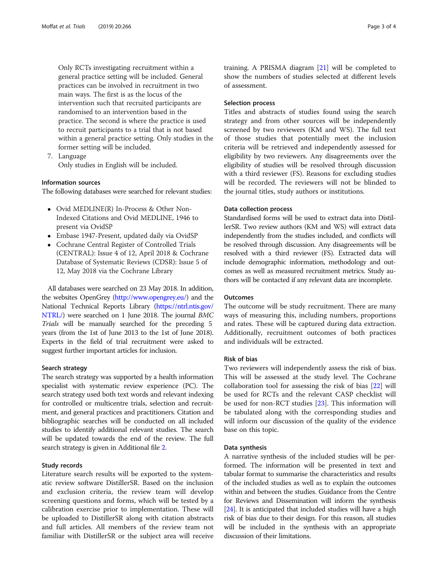Only RCTs investigating recruitment within a general practice setting will be included. General practices can be involved in recruitment in two main ways. The first is as the locus of the intervention such that recruited participants are randomised to an intervention based in the practice. The second is where the practice is used to recruit participants to a trial that is not based within a general practice setting. Only studies in the former setting will be included.

7. Language Only studies in English will be included.

#### Information sources

The following databases were searched for relevant studies:

- Ovid MEDLINE(R) In-Process & Other Non-Indexed Citations and Ovid MEDLINE, 1946 to present via OvidSP
- Embase 1947-Present, updated daily via OvidSP
- Cochrane Central Register of Controlled Trials (CENTRAL): Issue 4 of 12, April 2018 & Cochrane Database of Systematic Reviews (CDSR): Issue 5 of 12, May 2018 via the Cochrane Library

All databases were searched on 23 May 2018. In addition, the websites OpenGrey [\(http://www.opengrey.eu/](http://www.opengrey.eu/)) and the National Technical Reports Library ([https://ntrl.ntis.gov/](https://ntrl.ntis.gov/NTRL/) [NTRL/](https://ntrl.ntis.gov/NTRL/)) were searched on 1 June 2018. The journal BMC Trials will be manually searched for the preceding 5 years (from the 1st of June 2013 to the 1st of June 2018). Experts in the field of trial recruitment were asked to suggest further important articles for inclusion.

#### Search strategy

The search strategy was supported by a health information specialist with systematic review experience (PC). The search strategy used both text words and relevant indexing for controlled or multicentre trials, selection and recruitment, and general practices and practitioners. Citation and bibliographic searches will be conducted on all included studies to identify additional relevant studies. The search will be updated towards the end of the review. The full search strategy is given in Additional file [2.](#page-3-0)

#### Study records

Literature search results will be exported to the systematic review software DistillerSR. Based on the inclusion and exclusion criteria, the review team will develop screening questions and forms, which will be tested by a calibration exercise prior to implementation. These will be uploaded to DistillerSR along with citation abstracts and full articles. All members of the review team not familiar with DistillerSR or the subject area will receive training. A PRISMA diagram [\[21](#page-3-0)] will be completed to show the numbers of studies selected at different levels of assessment.

#### Selection process

Titles and abstracts of studies found using the search strategy and from other sources will be independently screened by two reviewers (KM and WS). The full text of those studies that potentially meet the inclusion criteria will be retrieved and independently assessed for eligibility by two reviewers. Any disagreements over the eligibility of studies will be resolved through discussion with a third reviewer (FS). Reasons for excluding studies will be recorded. The reviewers will not be blinded to the journal titles, study authors or institutions.

#### Data collection process

Standardised forms will be used to extract data into DistillerSR. Two review authors (KM and WS) will extract data independently from the studies included, and conflicts will be resolved through discussion. Any disagreements will be resolved with a third reviewer (FS). Extracted data will include demographic information, methodology and outcomes as well as measured recruitment metrics. Study authors will be contacted if any relevant data are incomplete.

#### **Outcomes**

The outcome will be study recruitment. There are many ways of measuring this, including numbers, proportions and rates. These will be captured during data extraction. Additionally, recruitment outcomes of both practices and individuals will be extracted.

#### Risk of bias

Two reviewers will independently assess the risk of bias. This will be assessed at the study level. The Cochrane collaboration tool for assessing the risk of bias [\[22](#page-3-0)] will be used for RCTs and the relevant CASP checklist will be used for non-RCT studies [[23\]](#page-3-0). This information will be tabulated along with the corresponding studies and will inform our discussion of the quality of the evidence base on this topic.

#### Data synthesis

A narrative synthesis of the included studies will be performed. The information will be presented in text and tabular format to summarise the characteristics and results of the included studies as well as to explain the outcomes within and between the studies. Guidance from the Centre for Reviews and Dissemination will inform the synthesis [[24](#page-3-0)]. It is anticipated that included studies will have a high risk of bias due to their design. For this reason, all studies will be included in the synthesis with an appropriate discussion of their limitations.